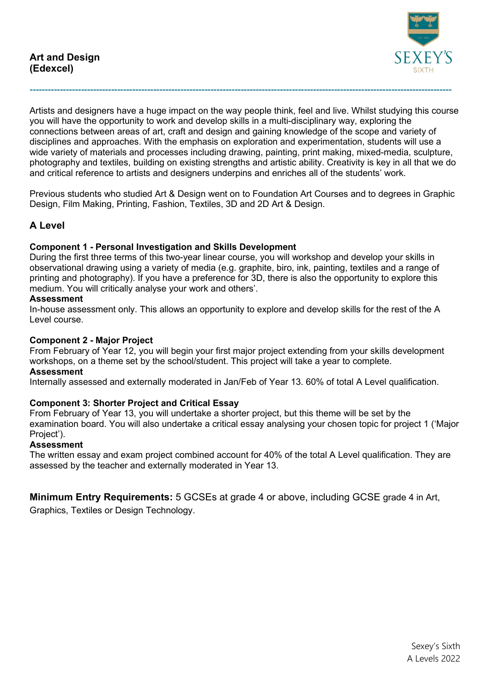

Artists and designers have a huge impact on the way people think, feel and live. Whilst studying this course you will have the opportunity to work and develop skills in a multi-disciplinary way, exploring the connections between areas of art, craft and design and gaining knowledge of the scope and variety of disciplines and approaches. With the emphasis on exploration and experimentation, students will use a wide variety of materials and processes including drawing, painting, print making, mixed-media, sculpture, photography and textiles, building on existing strengths and artistic ability. Creativity is key in all that we do and critical reference to artists and designers underpins and enriches all of the students' work.

**--------------------------------------------------------------------------------------------------------------------------------------------**

Previous students who studied Art & Design went on to Foundation Art Courses and to degrees in Graphic Design, Film Making, Printing, Fashion, Textiles, 3D and 2D Art & Design.

# **A Level**

### **Component 1 - Personal Investigation and Skills Development**

During the first three terms of this two-year linear course, you will workshop and develop your skills in observational drawing using a variety of media (e.g. graphite, biro, ink, painting, textiles and a range of printing and photography). If you have a preference for 3D, there is also the opportunity to explore this medium. You will critically analyse your work and others'.

### **Assessment**

In-house assessment only. This allows an opportunity to explore and develop skills for the rest of the A Level course.

### **Component 2 - Major Project**

From February of Year 12, you will begin your first major project extending from your skills development workshops, on a theme set by the school/student. This project will take a year to complete.

#### **Assessment**

Internally assessed and externally moderated in Jan/Feb of Year 13. 60% of total A Level qualification.

### **Component 3: Shorter Project and Critical Essay**

From February of Year 13, you will undertake a shorter project, but this theme will be set by the examination board. You will also undertake a critical essay analysing your chosen topic for project 1 ('Major Project').

### **Assessment**

The written essay and exam project combined account for 40% of the total A Level qualification. They are assessed by the teacher and externally moderated in Year 13.

**Minimum Entry Requirements:** 5 GCSEs at grade 4 or above, including GCSE grade 4 in Art,

Graphics, Textiles or Design Technology.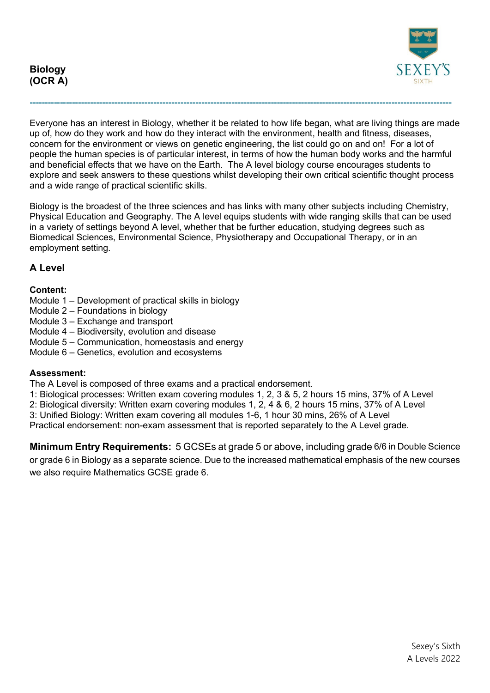**Biology (OCR A)**



Everyone has an interest in Biology, whether it be related to how life began, what are living things are made up of, how do they work and how do they interact with the environment, health and fitness, diseases, concern for the environment or views on genetic engineering, the list could go on and on! For a lot of people the human species is of particular interest, in terms of how the human body works and the harmful and beneficial effects that we have on the Earth. The A level biology course encourages students to explore and seek answers to these questions whilst developing their own critical scientific thought process and a wide range of practical scientific skills.

**--------------------------------------------------------------------------------------------------------------------------------------------**

Biology is the broadest of the three sciences and has links with many other subjects including Chemistry, Physical Education and Geography. The A level equips students with wide ranging skills that can be used in a variety of settings beyond A level, whether that be further education, studying degrees such as Biomedical Sciences, Environmental Science, Physiotherapy and Occupational Therapy, or in an employment setting.

# **A Level**

### **Content:**

- Module 1 Development of practical skills in biology
- Module 2 Foundations in biology
- Module 3 Exchange and transport
- Module 4 Biodiversity, evolution and disease
- Module 5 Communication, homeostasis and energy
- Module 6 Genetics, evolution and ecosystems

### **Assessment:**

The A Level is composed of three exams and a practical endorsement.

- 1: Biological processes: Written exam covering modules 1, 2, 3 & 5, 2 hours 15 mins, 37% of A Level
- 2: Biological diversity: Written exam covering modules 1, 2, 4 & 6, 2 hours 15 mins, 37% of A Level
- 3: Unified Biology: Written exam covering all modules 1-6, 1 hour 30 mins, 26% of A Level
- Practical endorsement: non-exam assessment that is reported separately to the A Level grade.

**Minimum Entry Requirements:** 5 GCSEs at grade 5 or above, including grade 6/6 in Double Science or grade 6 in Biology as a separate science. Due to the increased mathematical emphasis of the new courses we also require Mathematics GCSE grade 6.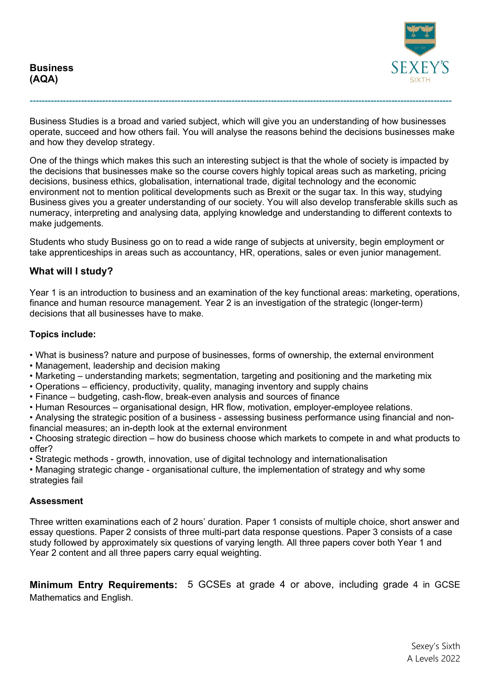**Business (AQA)**



Business Studies is a broad and varied subject, which will give you an understanding of how businesses operate, succeed and how others fail. You will analyse the reasons behind the decisions businesses make and how they develop strategy.

**--------------------------------------------------------------------------------------------------------------------------------------------**

One of the things which makes this such an interesting subject is that the whole of society is impacted by the decisions that businesses make so the course covers highly topical areas such as marketing, pricing decisions, business ethics, globalisation, international trade, digital technology and the economic environment not to mention political developments such as Brexit or the sugar tax. In this way, studying Business gives you a greater understanding of our society. You will also develop transferable skills such as numeracy, interpreting and analysing data, applying knowledge and understanding to different contexts to make judgements.

Students who study Business go on to read a wide range of subjects at university, begin employment or take apprenticeships in areas such as accountancy, HR, operations, sales or even junior management.

## **What will I study?**

Year 1 is an introduction to business and an examination of the key functional areas: marketing, operations, finance and human resource management. Year 2 is an investigation of the strategic (longer-term) decisions that all businesses have to make.

#### **Topics include:**

- What is business? nature and purpose of businesses, forms of ownership, the external environment
- Management, leadership and decision making
- Marketing understanding markets; segmentation, targeting and positioning and the marketing mix
- Operations efficiency, productivity, quality, managing inventory and supply chains
- Finance budgeting, cash-flow, break-even analysis and sources of finance
- Human Resources organisational design, HR flow, motivation, employer-employee relations.

• Analysing the strategic position of a business - assessing business performance using financial and nonfinancial measures; an in-depth look at the external environment

• Choosing strategic direction – how do business choose which markets to compete in and what products to offer?

• Strategic methods - growth, innovation, use of digital technology and internationalisation

• Managing strategic change - organisational culture, the implementation of strategy and why some strategies fail

### **Assessment**

Three written examinations each of 2 hours' duration. Paper 1 consists of multiple choice, short answer and essay questions. Paper 2 consists of three multi-part data response questions. Paper 3 consists of a case study followed by approximately six questions of varying length. All three papers cover both Year 1 and Year 2 content and all three papers carry equal weighting.

**Minimum Entry Requirements:** 5 GCSEs at grade 4 or above, including grade 4 in GCSE Mathematics and English.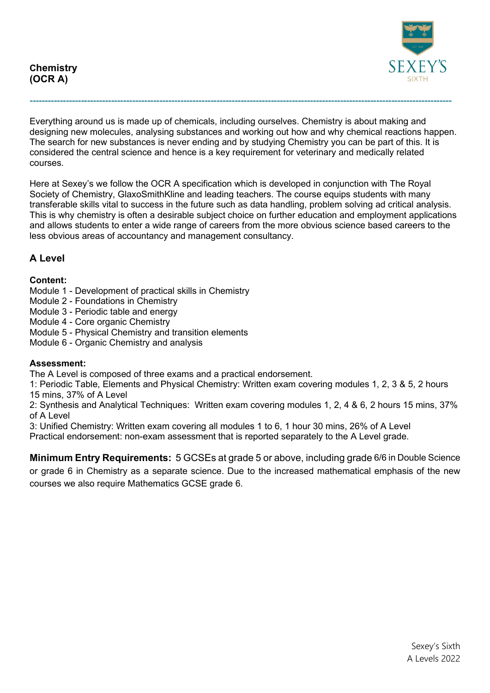

Everything around us is made up of chemicals, including ourselves. Chemistry is about making and designing new molecules, analysing substances and working out how and why chemical reactions happen. The search for new substances is never ending and by studying Chemistry you can be part of this. It is considered the central science and hence is a key requirement for veterinary and medically related courses.

**--------------------------------------------------------------------------------------------------------------------------------------------**

Here at Sexey's we follow the OCR A specification which is developed in conjunction with The Royal Society of Chemistry, GlaxoSmithKline and leading teachers. The course equips students with many transferable skills vital to success in the future such as data handling, problem solving ad critical analysis. This is why chemistry is often a desirable subject choice on further education and employment applications and allows students to enter a wide range of careers from the more obvious science based careers to the less obvious areas of accountancy and management consultancy.

# **A Level**

## **Content:**

- Module 1 Development of practical skills in Chemistry
- Module 2 Foundations in Chemistry
- Module 3 Periodic table and energy
- Module 4 Core organic Chemistry
- Module 5 Physical Chemistry and transition elements
- Module 6 Organic Chemistry and analysis

## **Assessment:**

The A Level is composed of three exams and a practical endorsement.

1: Periodic Table, Elements and Physical Chemistry: Written exam covering modules 1, 2, 3 & 5, 2 hours 15 mins, 37% of A Level

2: Synthesis and Analytical Techniques: Written exam covering modules 1, 2, 4 & 6, 2 hours 15 mins, 37% of A Level

3: Unified Chemistry: Written exam covering all modules 1 to 6, 1 hour 30 mins, 26% of A Level

Practical endorsement: non-exam assessment that is reported separately to the A Level grade.

**Minimum Entry Requirements:** 5 GCSEs at grade 5 or above, including grade 6/6 in Double Science or grade 6 in Chemistry as a separate science. Due to the increased mathematical emphasis of the new courses we also require Mathematics GCSE grade 6.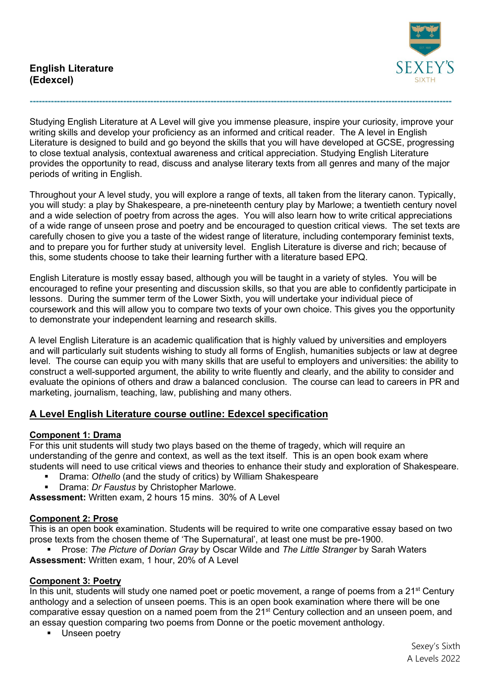

Studying English Literature at A Level will give you immense pleasure, inspire your curiosity, improve your writing skills and develop your proficiency as an informed and critical reader. The A level in English Literature is designed to build and go beyond the skills that you will have developed at GCSE, progressing to close textual analysis, contextual awareness and critical appreciation. Studying English Literature provides the opportunity to read, discuss and analyse literary texts from all genres and many of the major periods of writing in English.

**--------------------------------------------------------------------------------------------------------------------------------------------**

Throughout your A level study, you will explore a range of texts, all taken from the literary canon. Typically, you will study: a play by Shakespeare, a pre-nineteenth century play by Marlowe; a twentieth century novel and a wide selection of poetry from across the ages. You will also learn how to write critical appreciations of a wide range of unseen prose and poetry and be encouraged to question critical views. The set texts are carefully chosen to give you a taste of the widest range of literature, including contemporary feminist texts, and to prepare you for further study at university level. English Literature is diverse and rich; because of this, some students choose to take their learning further with a literature based EPQ.

English Literature is mostly essay based, although you will be taught in a variety of styles. You will be encouraged to refine your presenting and discussion skills, so that you are able to confidently participate in lessons. During the summer term of the Lower Sixth, you will undertake your individual piece of coursework and this will allow you to compare two texts of your own choice. This gives you the opportunity to demonstrate your independent learning and research skills.

A level English Literature is an academic qualification that is highly valued by universities and employers and will particularly suit students wishing to study all forms of English, humanities subjects or law at degree level. The course can equip you with many skills that are useful to employers and universities: the ability to construct a well-supported argument, the ability to write fluently and clearly, and the ability to consider and evaluate the opinions of others and draw a balanced conclusion. The course can lead to careers in PR and marketing, journalism, teaching, law, publishing and many others.

# **A Level English Literature course outline: Edexcel specification**

## **Component 1: Drama**

For this unit students will study two plays based on the theme of tragedy, which will require an understanding of the genre and context, as well as the text itself. This is an open book exam where students will need to use critical views and theories to enhance their study and exploration of Shakespeare.

- Drama: *Othello* (and the study of critics) by William Shakespeare
- Drama: *Dr Faustus* by Christopher Marlowe.

**Assessment:** Written exam, 2 hours 15 mins. 30% of A Level

## **Component 2: Prose**

This is an open book examination. Students will be required to write one comparative essay based on two prose texts from the chosen theme of 'The Supernatural', at least one must be pre-1900.

 Prose: *The Picture of Dorian Gray* by Oscar Wilde and *The Little Stranger* by Sarah Waters **Assessment:** Written exam, 1 hour, 20% of A Level

### **Component 3: Poetry**

In this unit, students will study one named poet or poetic movement, a range of poems from a 21<sup>st</sup> Century anthology and a selection of unseen poems. This is an open book examination where there will be one comparative essay question on a named poem from the  $21<sup>st</sup>$  Century collection and an unseen poem, and an essay question comparing two poems from Donne or the poetic movement anthology.

**Unseen poetry** 

 Sexey's Sixth A Levels 2022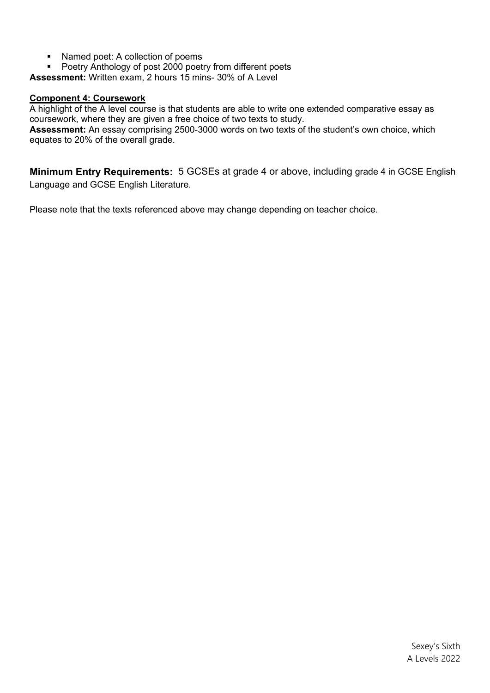- Named poet: A collection of poems
- **Poetry Anthology of post 2000 poetry from different poets**

**Assessment:** Written exam, 2 hours 15 mins- 30% of A Level

### **Component 4: Coursework**

A highlight of the A level course is that students are able to write one extended comparative essay as coursework, where they are given a free choice of two texts to study.

**Assessment:** An essay comprising 2500-3000 words on two texts of the student's own choice, which equates to 20% of the overall grade.

**Minimum Entry Requirements:** 5 GCSEs at grade 4 or above, including grade 4 in GCSE English Language and GCSE English Literature.

Please note that the texts referenced above may change depending on teacher choice.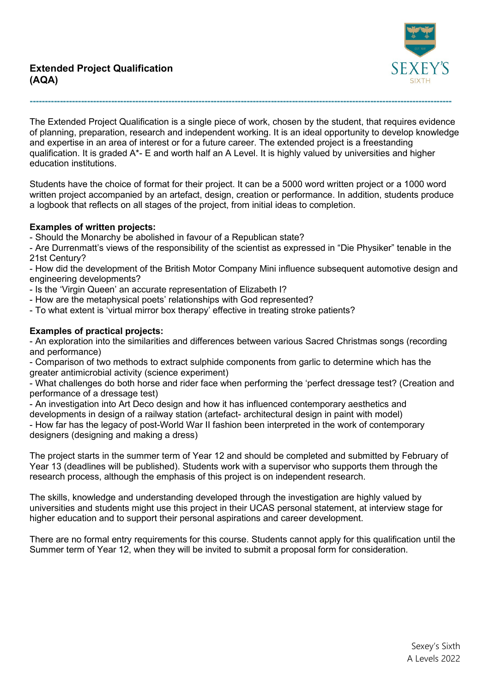

The Extended Project Qualification is a single piece of work, chosen by the student, that requires evidence of planning, preparation, research and independent working. It is an ideal opportunity to develop knowledge and expertise in an area of interest or for a future career. The extended project is a freestanding qualification. It is graded A\*- E and worth half an A Level. It is highly valued by universities and higher education institutions.

**--------------------------------------------------------------------------------------------------------------------------------------------**

Students have the choice of format for their project. It can be a 5000 word written project or a 1000 word written project accompanied by an artefact, design, creation or performance. In addition, students produce a logbook that reflects on all stages of the project, from initial ideas to completion.

## **Examples of written projects:**

- Should the Monarchy be abolished in favour of a Republican state?

- Are Durrenmatt's views of the responsibility of the scientist as expressed in "Die Physiker" tenable in the 21st Century?

- How did the development of the British Motor Company Mini influence subsequent automotive design and engineering developments?

- Is the 'Virgin Queen' an accurate representation of Elizabeth I?
- How are the metaphysical poets' relationships with God represented?
- To what extent is 'virtual mirror box therapy' effective in treating stroke patients?

## **Examples of practical projects:**

- An exploration into the similarities and differences between various Sacred Christmas songs (recording and performance)

- Comparison of two methods to extract sulphide components from garlic to determine which has the greater antimicrobial activity (science experiment)

- What challenges do both horse and rider face when performing the 'perfect dressage test? (Creation and performance of a dressage test)

- An investigation into Art Deco design and how it has influenced contemporary aesthetics and developments in design of a railway station (artefact- architectural design in paint with model)

- How far has the legacy of post-World War II fashion been interpreted in the work of contemporary designers (designing and making a dress)

The project starts in the summer term of Year 12 and should be completed and submitted by February of Year 13 (deadlines will be published). Students work with a supervisor who supports them through the research process, although the emphasis of this project is on independent research.

The skills, knowledge and understanding developed through the investigation are highly valued by universities and students might use this project in their UCAS personal statement, at interview stage for higher education and to support their personal aspirations and career development.

There are no formal entry requirements for this course. Students cannot apply for this qualification until the Summer term of Year 12, when they will be invited to submit a proposal form for consideration.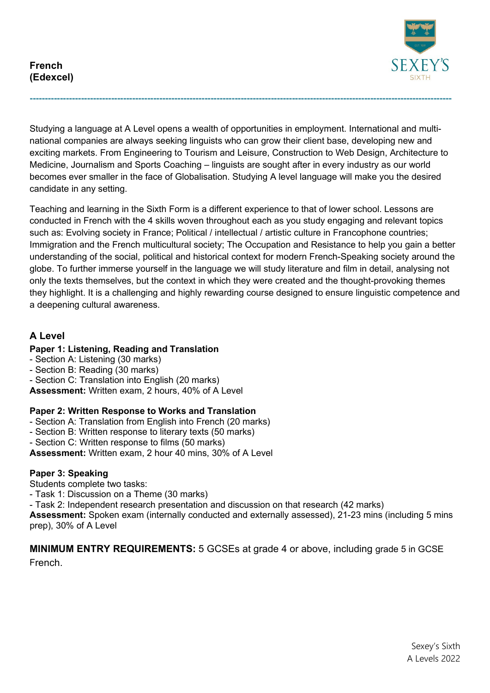

Studying a language at A Level opens a wealth of opportunities in employment. International and multinational companies are always seeking linguists who can grow their client base, developing new and exciting markets. From Engineering to Tourism and Leisure, Construction to Web Design, Architecture to Medicine, Journalism and Sports Coaching – linguists are sought after in every industry as our world becomes ever smaller in the face of Globalisation. Studying A level language will make you the desired candidate in any setting.

**--------------------------------------------------------------------------------------------------------------------------------------------**

Teaching and learning in the Sixth Form is a different experience to that of lower school. Lessons are conducted in French with the 4 skills woven throughout each as you study engaging and relevant topics such as: Evolving society in France; Political / intellectual / artistic culture in Francophone countries; Immigration and the French multicultural society; The Occupation and Resistance to help you gain a better understanding of the social, political and historical context for modern French-Speaking society around the globe. To further immerse yourself in the language we will study literature and film in detail, analysing not only the texts themselves, but the context in which they were created and the thought-provoking themes they highlight. It is a challenging and highly rewarding course designed to ensure linguistic competence and a deepening cultural awareness.

# **A Level**

# **Paper 1: Listening, Reading and Translation**

- Section A: Listening (30 marks)
- Section B: Reading (30 marks)
- Section C: Translation into English (20 marks)

**Assessment:** Written exam, 2 hours, 40% of A Level

# **Paper 2: Written Response to Works and Translation**

- Section A: Translation from English into French (20 marks)
- Section B: Written response to literary texts (50 marks)
- Section C: Written response to films (50 marks)

**Assessment:** Written exam, 2 hour 40 mins, 30% of A Level

# **Paper 3: Speaking**

Students complete two tasks:

- Task 1: Discussion on a Theme (30 marks)

- Task 2: Independent research presentation and discussion on that research (42 marks)

**Assessment:** Spoken exam (internally conducted and externally assessed), 21-23 mins (including 5 mins prep), 30% of A Level

**MINIMUM ENTRY REQUIREMENTS:** 5 GCSEs at grade 4 or above, including grade 5 in GCSE French.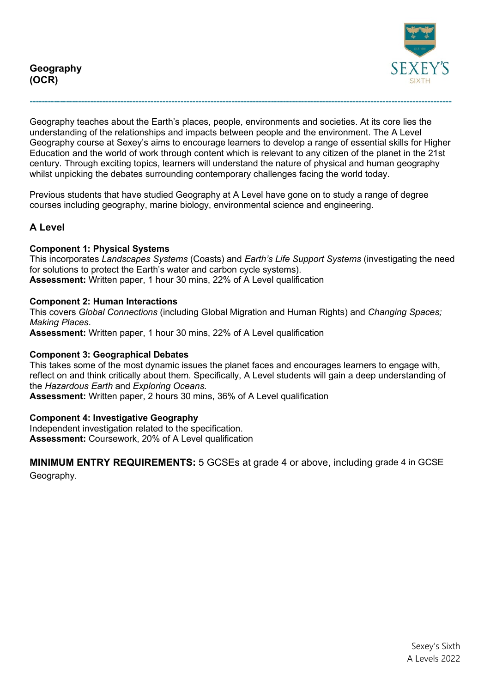

Geography teaches about the Earth's places, people, environments and societies. At its core lies the understanding of the relationships and impacts between people and the environment. The A Level Geography course at Sexey's aims to encourage learners to develop a range of essential skills for Higher Education and the world of work through content which is relevant to any citizen of the planet in the 21st century. Through exciting topics, learners will understand the nature of physical and human geography whilst unpicking the debates surrounding contemporary challenges facing the world today.

**--------------------------------------------------------------------------------------------------------------------------------------------**

Previous students that have studied Geography at A Level have gone on to study a range of degree courses including geography, marine biology, environmental science and engineering.

# **A Level**

### **Component 1: Physical Systems**

This incorporates *Landscapes Systems* (Coasts) and *Earth's Life Support Systems* (investigating the need for solutions to protect the Earth's water and carbon cycle systems). **Assessment:** Written paper, 1 hour 30 mins, 22% of A Level qualification

### **Component 2: Human Interactions**

This covers *Global Connections* (including Global Migration and Human Rights) and *Changing Spaces; Making Places*. **Assessment:** Written paper, 1 hour 30 mins, 22% of A Level qualification

### **Component 3: Geographical Debates**

This takes some of the most dynamic issues the planet faces and encourages learners to engage with, reflect on and think critically about them. Specifically, A Level students will gain a deep understanding of the *Hazardous Earth* and *Exploring Oceans.*

**Assessment:** Written paper, 2 hours 30 mins, 36% of A Level qualification

### **Component 4: Investigative Geography**

Independent investigation related to the specification. **Assessment:** Coursework, 20% of A Level qualification

**MINIMUM ENTRY REQUIREMENTS:** 5 GCSEs at grade 4 or above, including grade 4 in GCSE Geography.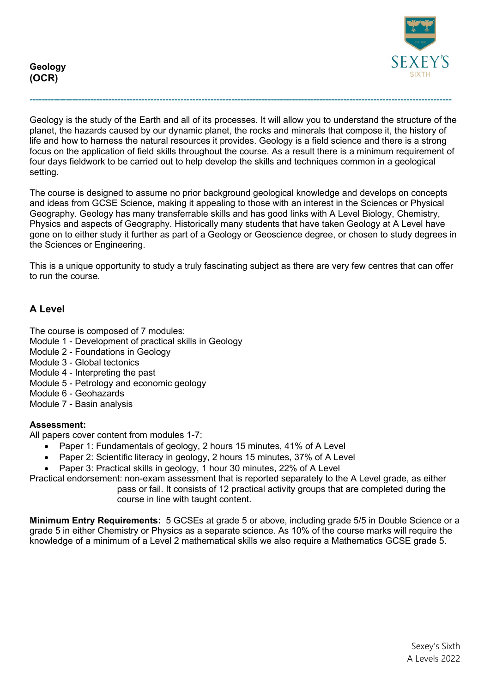



Geology is the study of the Earth and all of its processes. It will allow you to understand the structure of the planet, the hazards caused by our dynamic planet, the rocks and minerals that compose it, the history of life and how to harness the natural resources it provides. Geology is a field science and there is a strong focus on the application of field skills throughout the course. As a result there is a minimum requirement of four days fieldwork to be carried out to help develop the skills and techniques common in a geological setting.

**--------------------------------------------------------------------------------------------------------------------------------------------**

The course is designed to assume no prior background geological knowledge and develops on concepts and ideas from GCSE Science, making it appealing to those with an interest in the Sciences or Physical Geography. Geology has many transferrable skills and has good links with A Level Biology, Chemistry, Physics and aspects of Geography. Historically many students that have taken Geology at A Level have gone on to either study it further as part of a Geology or Geoscience degree, or chosen to study degrees in the Sciences or Engineering.

This is a unique opportunity to study a truly fascinating subject as there are very few centres that can offer to run the course.

# **A Level**

The course is composed of 7 modules:

- Module 1 Development of practical skills in Geology
- Module 2 Foundations in Geology
- Module 3 Global tectonics
- Module 4 Interpreting the past
- Module 5 Petrology and economic geology
- Module 6 Geohazards

Module 7 - Basin analysis

## **Assessment:**

All papers cover content from modules 1-7:

- Paper 1: Fundamentals of geology, 2 hours 15 minutes, 41% of A Level
- Paper 2: Scientific literacy in geology, 2 hours 15 minutes, 37% of A Level
- Paper 3: Practical skills in geology, 1 hour 30 minutes, 22% of A Level

Practical endorsement: non-exam assessment that is reported separately to the A Level grade, as either pass or fail. It consists of 12 practical activity groups that are completed during the course in line with taught content.

**Minimum Entry Requirements:** 5 GCSEs at grade 5 or above, including grade 5/5 in Double Science or a grade 5 in either Chemistry or Physics as a separate science. As 10% of the course marks will require the knowledge of a minimum of a Level 2 mathematical skills we also require a Mathematics GCSE grade 5.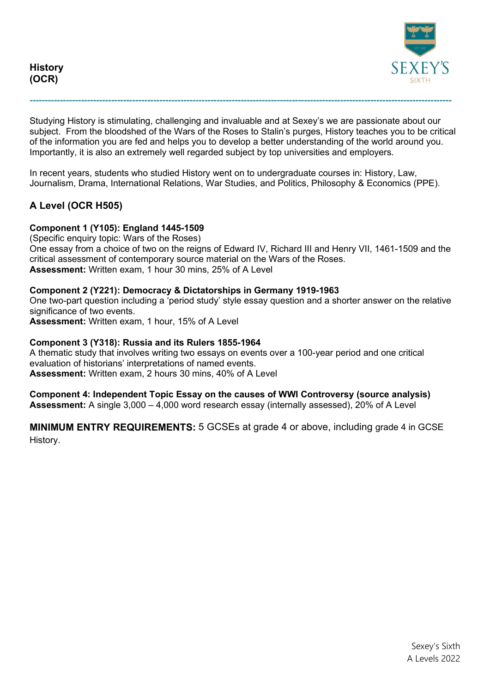



Studying History is stimulating, challenging and invaluable and at Sexey's we are passionate about our subject. From the bloodshed of the Wars of the Roses to Stalin's purges, History teaches you to be critical of the information you are fed and helps you to develop a better understanding of the world around you. Importantly, it is also an extremely well regarded subject by top universities and employers.

**--------------------------------------------------------------------------------------------------------------------------------------------**

In recent years, students who studied History went on to undergraduate courses in: History, Law, Journalism, Drama, International Relations, War Studies, and Politics, Philosophy & Economics (PPE).

# **A Level (OCR H505)**

### **Component 1 (Y105): England 1445-1509**

(Specific enquiry topic: Wars of the Roses) One essay from a choice of two on the reigns of Edward IV, Richard III and Henry VII, 1461-1509 and the critical assessment of contemporary source material on the Wars of the Roses. **Assessment:** Written exam, 1 hour 30 mins, 25% of A Level

### **Component 2 (Y221): Democracy & Dictatorships in Germany 1919-1963**

One two-part question including a 'period study' style essay question and a shorter answer on the relative significance of two events.

**Assessment:** Written exam, 1 hour, 15% of A Level

### **Component 3 (Y318): Russia and its Rulers 1855-1964**

A thematic study that involves writing two essays on events over a 100-year period and one critical evaluation of historians' interpretations of named events. **Assessment:** Written exam, 2 hours 30 mins, 40% of A Level

**Component 4: Independent Topic Essay on the causes of WWI Controversy (source analysis) Assessment:** A single 3,000 – 4,000 word research essay (internally assessed), 20% of A Level

**MINIMUM ENTRY REQUIREMENTS:** 5 GCSEs at grade 4 or above, including grade 4 in GCSE History.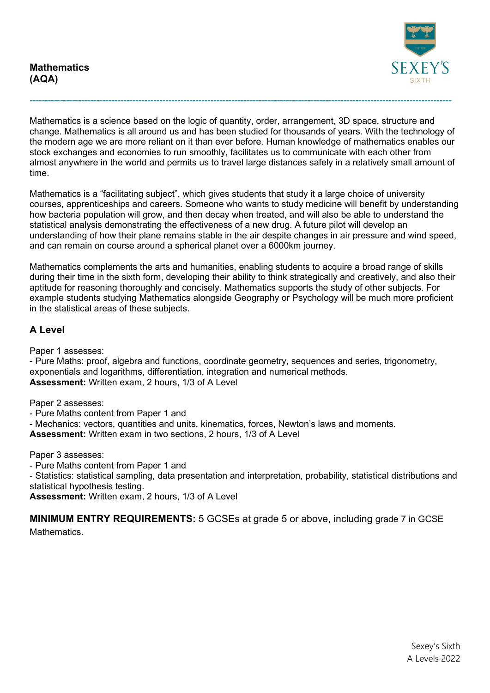

Mathematics is a science based on the logic of quantity, order, arrangement, 3D space, structure and change. Mathematics is all around us and has been studied for thousands of years. With the technology of the modern age we are more reliant on it than ever before. Human knowledge of mathematics enables our stock exchanges and economies to run smoothly, facilitates us to communicate with each other from almost anywhere in the world and permits us to travel large distances safely in a relatively small amount of time.

**--------------------------------------------------------------------------------------------------------------------------------------------**

Mathematics is a "facilitating subject", which gives students that study it a large choice of university courses, apprenticeships and careers. Someone who wants to study medicine will benefit by understanding how bacteria population will grow, and then decay when treated, and will also be able to understand the statistical analysis demonstrating the effectiveness of a new drug. A future pilot will develop an understanding of how their plane remains stable in the air despite changes in air pressure and wind speed, and can remain on course around a spherical planet over a 6000km journey.

Mathematics complements the arts and humanities, enabling students to acquire a broad range of skills during their time in the sixth form, developing their ability to think strategically and creatively, and also their aptitude for reasoning thoroughly and concisely. Mathematics supports the study of other subjects. For example students studying Mathematics alongside Geography or Psychology will be much more proficient in the statistical areas of these subjects.

# **A Level**

Paper 1 assesses:

- Pure Maths: proof, algebra and functions, coordinate geometry, sequences and series, trigonometry, exponentials and logarithms, differentiation, integration and numerical methods. **Assessment:** Written exam, 2 hours, 1/3 of A Level

Paper 2 assesses:

- Pure Maths content from Paper 1 and

- Mechanics: vectors, quantities and units, kinematics, forces, Newton's laws and moments.

**Assessment:** Written exam in two sections, 2 hours, 1/3 of A Level

Paper 3 assesses:

- Pure Maths content from Paper 1 and

- Statistics: statistical sampling, data presentation and interpretation, probability, statistical distributions and statistical hypothesis testing.

**Assessment:** Written exam, 2 hours, 1/3 of A Level

**MINIMUM ENTRY REQUIREMENTS:** 5 GCSEs at grade 5 or above, including grade 7 in GCSE **Mathematics**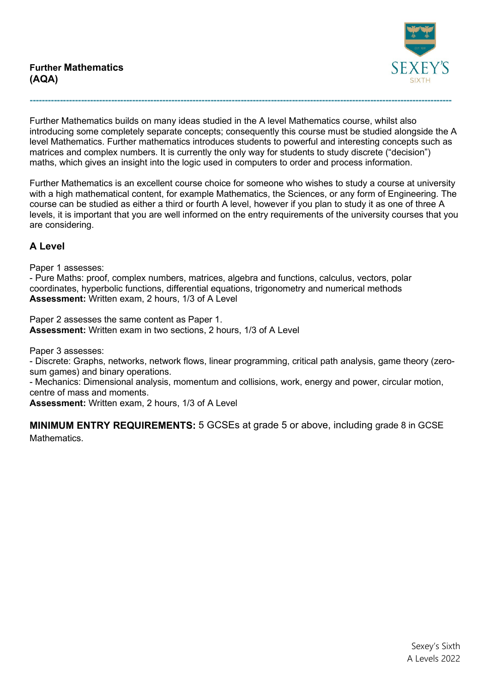

Further Mathematics builds on many ideas studied in the A level Mathematics course, whilst also introducing some completely separate concepts; consequently this course must be studied alongside the A level Mathematics. Further mathematics introduces students to powerful and interesting concepts such as matrices and complex numbers. It is currently the only way for students to study discrete ("decision") maths, which gives an insight into the logic used in computers to order and process information.

**--------------------------------------------------------------------------------------------------------------------------------------------**

Further Mathematics is an excellent course choice for someone who wishes to study a course at university with a high mathematical content, for example Mathematics, the Sciences, or any form of Engineering. The course can be studied as either a third or fourth A level, however if you plan to study it as one of three A levels, it is important that you are well informed on the entry requirements of the university courses that you are considering.

# **A Level**

Paper 1 assesses:

- Pure Maths: proof, complex numbers, matrices, algebra and functions, calculus, vectors, polar coordinates, hyperbolic functions, differential equations, trigonometry and numerical methods **Assessment:** Written exam, 2 hours, 1/3 of A Level

Paper 2 assesses the same content as Paper 1. **Assessment:** Written exam in two sections, 2 hours, 1/3 of A Level

Paper 3 assesses:

- Discrete: Graphs, networks, network flows, linear programming, critical path analysis, game theory (zerosum games) and binary operations.

- Mechanics: Dimensional analysis, momentum and collisions, work, energy and power, circular motion, centre of mass and moments.

**Assessment:** Written exam, 2 hours, 1/3 of A Level

**MINIMUM ENTRY REQUIREMENTS:** 5 GCSEs at grade 5 or above, including grade 8 in GCSE **Mathematics**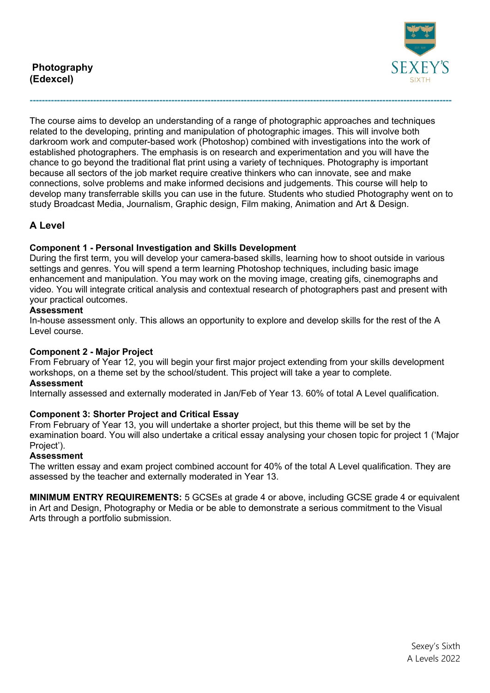

The course aims to develop an understanding of a range of photographic approaches and techniques related to the developing, printing and manipulation of photographic images. This will involve both darkroom work and computer-based work (Photoshop) combined with investigations into the work of established photographers. The emphasis is on research and experimentation and you will have the chance to go beyond the traditional flat print using a variety of techniques. Photography is important because all sectors of the job market require creative thinkers who can innovate, see and make connections, solve problems and make informed decisions and judgements. This course will help to develop many transferrable skills you can use in the future. Students who studied Photography went on to study Broadcast Media, Journalism, Graphic design, Film making, Animation and Art & Design.

**--------------------------------------------------------------------------------------------------------------------------------------------**

# **A Level**

## **Component 1 - Personal Investigation and Skills Development**

During the first term, you will develop your camera-based skills, learning how to shoot outside in various settings and genres. You will spend a term learning Photoshop techniques, including basic image enhancement and manipulation. You may work on the moving image, creating gifs, cinemographs and video. You will integrate critical analysis and contextual research of photographers past and present with your practical outcomes.

### **Assessment**

In-house assessment only. This allows an opportunity to explore and develop skills for the rest of the A Level course.

### **Component 2 - Major Project**

From February of Year 12, you will begin your first major project extending from your skills development workshops, on a theme set by the school/student. This project will take a year to complete. **Assessment**

Internally assessed and externally moderated in Jan/Feb of Year 13. 60% of total A Level qualification.

## **Component 3: Shorter Project and Critical Essay**

From February of Year 13, you will undertake a shorter project, but this theme will be set by the examination board. You will also undertake a critical essay analysing your chosen topic for project 1 ('Major Project').

### **Assessment**

The written essay and exam project combined account for 40% of the total A Level qualification. They are assessed by the teacher and externally moderated in Year 13.

**MINIMUM ENTRY REQUIREMENTS:** 5 GCSEs at grade 4 or above, including GCSE grade 4 or equivalent in Art and Design, Photography or Media or be able to demonstrate a serious commitment to the Visual Arts through a portfolio submission.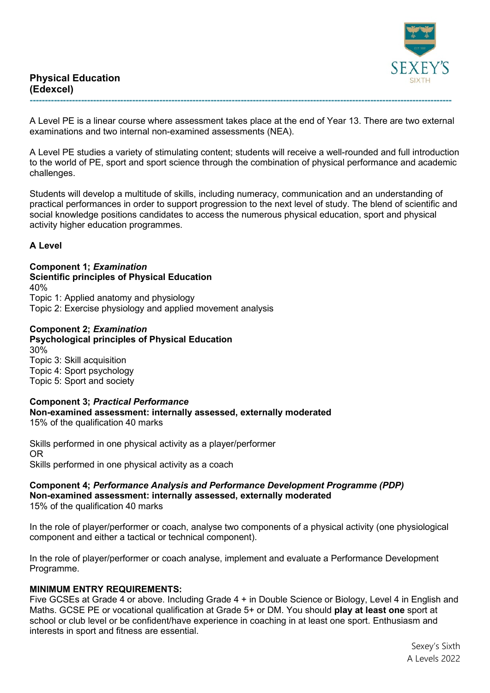

A Level PE is a linear course where assessment takes place at the end of Year 13. There are two external examinations and two internal non-examined assessments (NEA).

**--------------------------------------------------------------------------------------------------------------------------------------------**

A Level PE studies a variety of stimulating content; students will receive a well-rounded and full introduction to the world of PE, sport and sport science through the combination of physical performance and academic challenges.

Students will develop a multitude of skills, including numeracy, communication and an understanding of practical performances in order to support progression to the next level of study. The blend of scientific and social knowledge positions candidates to access the numerous physical education, sport and physical activity higher education programmes.

## **A Level**

**Component 1;** *Examination*  **Scientific principles of Physical Education**  40% Topic 1: Applied anatomy and physiology Topic 2: Exercise physiology and applied movement analysis

#### **Component 2;** *Examination*  **Psychological principles of Physical Education**

30% Topic 3: Skill acquisition Topic 4: Sport psychology Topic 5: Sport and society

# **Component 3;** *Practical Performance* **Non-examined assessment: internally assessed, externally moderated**

15% of the qualification 40 marks

Skills performed in one physical activity as a player/performer OR Skills performed in one physical activity as a coach

## **Component 4;** *Performance Analysis and Performance Development Programme (PDP)* **Non-examined assessment: internally assessed, externally moderated**

15% of the qualification 40 marks

In the role of player/performer or coach, analyse two components of a physical activity (one physiological component and either a tactical or technical component).

In the role of player/performer or coach analyse, implement and evaluate a Performance Development Programme.

## **MINIMUM ENTRY REQUIREMENTS:**

Five GCSEs at Grade 4 or above. Including Grade 4 + in Double Science or Biology, Level 4 in English and Maths. GCSE PE or vocational qualification at Grade 5+ or DM. You should **play at least one** sport at school or club level or be confident/have experience in coaching in at least one sport. Enthusiasm and interests in sport and fitness are essential.

> Sexey's Sixth A Levels 2022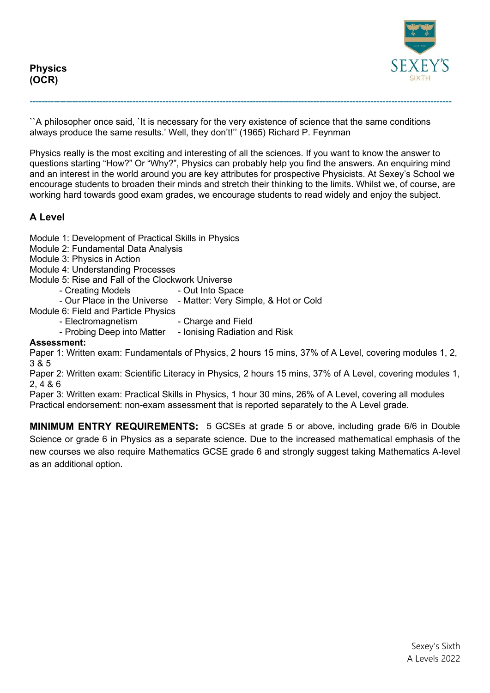**Physics (OCR)**



``A philosopher once said, `It is necessary for the very existence of science that the same conditions always produce the same results.' Well, they don't!'' (1965) Richard P. Feynman

**--------------------------------------------------------------------------------------------------------------------------------------------**

Physics really is the most exciting and interesting of all the sciences. If you want to know the answer to questions starting "How?" Or "Why?", Physics can probably help you find the answers. An enquiring mind and an interest in the world around you are key attributes for prospective Physicists. At Sexey's School we encourage students to broaden their minds and stretch their thinking to the limits. Whilst we, of course, are working hard towards good exam grades, we encourage students to read widely and enjoy the subject.

# **A Level**

Module 1: Development of Practical Skills in Physics

- Module 2: Fundamental Data Analysis
- Module 3: Physics in Action
- Module 4: Understanding Processes

Module 5: Rise and Fall of the Clockwork Universe

- Creating Models Out Into Space
- Our Place in the Universe Matter: Very Simple, & Hot or Cold

Module 6: Field and Particle Physics

- Electromagnetism Charge and Field
- Probing Deep into Matter Ionising Radiation and Risk

### **Assessment:**

Paper 1: Written exam: Fundamentals of Physics, 2 hours 15 mins, 37% of A Level, covering modules 1, 2, 3 & 5

Paper 2: Written exam: Scientific Literacy in Physics, 2 hours 15 mins, 37% of A Level, covering modules 1, 2, 4 & 6

Paper 3: Written exam: Practical Skills in Physics, 1 hour 30 mins, 26% of A Level, covering all modules Practical endorsement: non-exam assessment that is reported separately to the A Level grade.

**MINIMUM ENTRY REQUIREMENTS:** 5 GCSEs at grade 5 or above, including grade 6/6 in Double Science or grade 6 in Physics as a separate science. Due to the increased mathematical emphasis of the new courses we also require Mathematics GCSE grade 6 and strongly suggest taking Mathematics A-level as an additional option.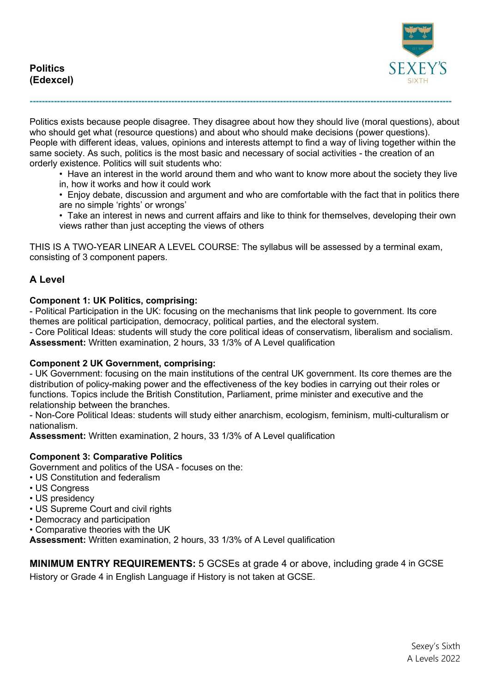

Politics exists because people disagree. They disagree about how they should live (moral questions), about who should get what (resource questions) and about who should make decisions (power questions). People with different ideas, values, opinions and interests attempt to find a way of living together within the same society. As such, politics is the most basic and necessary of social activities - the creation of an orderly existence. Politics will suit students who:

**--------------------------------------------------------------------------------------------------------------------------------------------**

• Have an interest in the world around them and who want to know more about the society they live in, how it works and how it could work

• Enjoy debate, discussion and argument and who are comfortable with the fact that in politics there are no simple 'rights' or wrongs'

• Take an interest in news and current affairs and like to think for themselves, developing their own views rather than just accepting the views of others

THIS IS A TWO-YEAR LINEAR A LEVEL COURSE: The syllabus will be assessed by a terminal exam, consisting of 3 component papers.

# **A Level**

### **Component 1: UK Politics, comprising:**

- Political Participation in the UK: focusing on the mechanisms that link people to government. Its core themes are political participation, democracy, political parties, and the electoral system.

- Core Political Ideas: students will study the core political ideas of conservatism, liberalism and socialism. **Assessment:** Written examination, 2 hours, 33 1/3% of A Level qualification

### **Component 2 UK Government, comprising:**

- UK Government: focusing on the main institutions of the central UK government. Its core themes are the distribution of policy-making power and the effectiveness of the key bodies in carrying out their roles or functions. Topics include the British Constitution, Parliament, prime minister and executive and the relationship between the branches.

- Non-Core Political Ideas: students will study either anarchism, ecologism, feminism, multi-culturalism or nationalism.

**Assessment:** Written examination, 2 hours, 33 1/3% of A Level qualification

## **Component 3: Comparative Politics**

Government and politics of the USA - focuses on the:

- US Constitution and federalism
- US Congress
- US presidency
- US Supreme Court and civil rights
- Democracy and participation
- Comparative theories with the UK

**Assessment:** Written examination, 2 hours, 33 1/3% of A Level qualification

**MINIMUM ENTRY REQUIREMENTS:** 5 GCSEs at grade 4 or above, including grade 4 in GCSE History or Grade 4 in English Language if History is not taken at GCSE.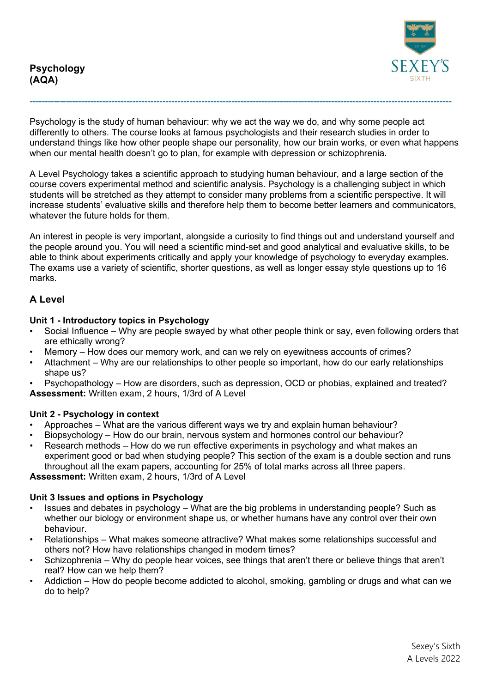

Psychology is the study of human behaviour: why we act the way we do, and why some people act differently to others. The course looks at famous psychologists and their research studies in order to understand things like how other people shape our personality, how our brain works, or even what happens when our mental health doesn't go to plan, for example with depression or schizophrenia.

**--------------------------------------------------------------------------------------------------------------------------------------------**

A Level Psychology takes a scientific approach to studying human behaviour, and a large section of the course covers experimental method and scientific analysis. Psychology is a challenging subject in which students will be stretched as they attempt to consider many problems from a scientific perspective. It will increase students' evaluative skills and therefore help them to become better learners and communicators, whatever the future holds for them.

An interest in people is very important, alongside a curiosity to find things out and understand yourself and the people around you. You will need a scientific mind-set and good analytical and evaluative skills, to be able to think about experiments critically and apply your knowledge of psychology to everyday examples. The exams use a variety of scientific, shorter questions, as well as longer essay style questions up to 16 marks.

# **A Level**

### **Unit 1 - Introductory topics in Psychology**

- Social Influence Why are people swayed by what other people think or say, even following orders that are ethically wrong?
- Memory How does our memory work, and can we rely on eyewitness accounts of crimes?
- Attachment Why are our relationships to other people so important, how do our early relationships shape us?
- Psychopathology How are disorders, such as depression, OCD or phobias, explained and treated? **Assessment:** Written exam, 2 hours, 1/3rd of A Level

### **Unit 2 - Psychology in context**

- Approaches What are the various different ways we try and explain human behaviour?
- Biopsychology How do our brain, nervous system and hormones control our behaviour?
- Research methods How do we run effective experiments in psychology and what makes an experiment good or bad when studying people? This section of the exam is a double section and runs throughout all the exam papers, accounting for 25% of total marks across all three papers.

**Assessment:** Written exam, 2 hours, 1/3rd of A Level

### **Unit 3 Issues and options in Psychology**

- Issues and debates in psychology What are the big problems in understanding people? Such as whether our biology or environment shape us, or whether humans have any control over their own behaviour.
- Relationships What makes someone attractive? What makes some relationships successful and others not? How have relationships changed in modern times?
- Schizophrenia Why do people hear voices, see things that aren't there or believe things that aren't real? How can we help them?
- Addiction How do people become addicted to alcohol, smoking, gambling or drugs and what can we do to help?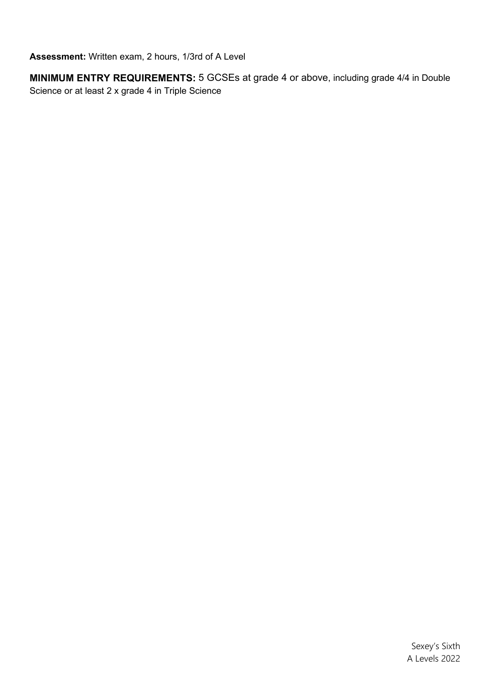**Assessment:** Written exam, 2 hours, 1/3rd of A Level

**MINIMUM ENTRY REQUIREMENTS:** 5 GCSEs at grade 4 or above, including grade 4/4 in Double Science or at least 2 x grade 4 in Triple Science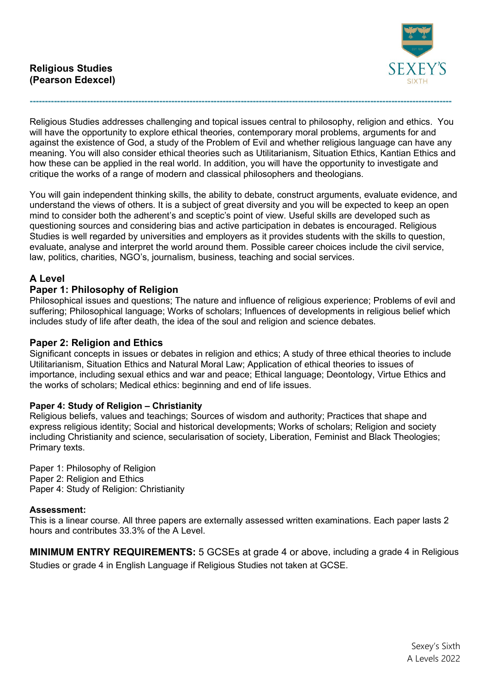

Religious Studies addresses challenging and topical issues central to philosophy, religion and ethics. You will have the opportunity to explore ethical theories, contemporary moral problems, arguments for and against the existence of God, a study of the Problem of Evil and whether religious language can have any meaning. You will also consider ethical theories such as Utilitarianism, Situation Ethics, Kantian Ethics and how these can be applied in the real world. In addition, you will have the opportunity to investigate and critique the works of a range of modern and classical philosophers and theologians.

**--------------------------------------------------------------------------------------------------------------------------------------------**

You will gain independent thinking skills, the ability to debate, construct arguments, evaluate evidence, and understand the views of others. It is a subject of great diversity and you will be expected to keep an open mind to consider both the adherent's and sceptic's point of view. Useful skills are developed such as questioning sources and considering bias and active participation in debates is encouraged. Religious Studies is well regarded by universities and employers as it provides students with the skills to question, evaluate, analyse and interpret the world around them. Possible career choices include the civil service, law, politics, charities, NGO's, journalism, business, teaching and social services.

# **A Level**

# **Paper 1: Philosophy of Religion**

Philosophical issues and questions; The nature and influence of religious experience; Problems of evil and suffering; Philosophical language; Works of scholars; Influences of developments in religious belief which includes study of life after death, the idea of the soul and religion and science debates.

# **Paper 2: Religion and Ethics**

Significant concepts in issues or debates in religion and ethics; A study of three ethical theories to include Utilitarianism, Situation Ethics and Natural Moral Law; Application of ethical theories to issues of importance, including sexual ethics and war and peace; Ethical language; Deontology, Virtue Ethics and the works of scholars; Medical ethics: beginning and end of life issues.

## **Paper 4: Study of Religion – Christianity**

Religious beliefs, values and teachings; Sources of wisdom and authority; Practices that shape and express religious identity; Social and historical developments; Works of scholars; Religion and society including Christianity and science, secularisation of society, Liberation, Feminist and Black Theologies; Primary texts.

Paper 1: Philosophy of Religion Paper 2: Religion and Ethics Paper 4: Study of Religion: Christianity

### **Assessment:**

This is a linear course. All three papers are externally assessed written examinations. Each paper lasts 2 hours and contributes 33.3% of the A Level.

**MINIMUM ENTRY REQUIREMENTS:** 5 GCSEs at grade 4 or above, including a grade 4 in Religious Studies or grade 4 in English Language if Religious Studies not taken at GCSE.